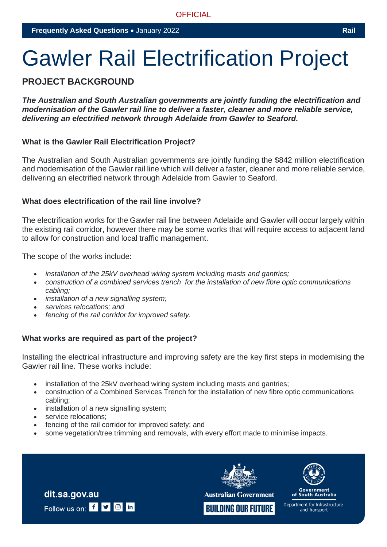# Gawler Rail Electrification Project

# **PROJECT BACKGROUND**

*The Australian and South Australian governments are jointly funding the electrification and modernisation of the Gawler rail line to deliver a faster, cleaner and more reliable service, delivering an electrified network through Adelaide from Gawler to Seaford.*

#### **What is the Gawler Rail Electrification Project?**

The Australian and South Australian governments are jointly funding the \$842 million electrification and modernisation of the Gawler rail line which will deliver a faster, cleaner and more reliable service, delivering an electrified network through Adelaide from Gawler to Seaford.

#### **What does electrification of the rail line involve?**

The electrification works for the Gawler rail line between Adelaide and Gawler will occur largely within the existing rail corridor, however there may be some works that will require access to adjacent land to allow for construction and local traffic management.

The scope of the works include:

- *installation of the 25kV overhead wiring system including masts and gantries;*
- *construction of a combined services trench for the installation of new fibre optic communications cabling;*
- *installation of a new signalling system;*
- *services relocations; and*
- *fencing of the rail corridor for improved safety.*

#### **What works are required as part of the project?**

Installing the electrical infrastructure and improving safety are the key first steps in modernising the Gawler rail line. These works include:

- installation of the 25kV overhead wiring system including masts and gantries;
- construction of a Combined Services Trench for the installation of new fibre optic communications cabling;
- installation of a new signalling system;
- service relocations:

dit.sa.gov.au

Follow us on: f **y** a in

- fencing of the rail corridor for improved safety; and
- some vegetation/tree trimming and removals, with every effort made to minimise impacts.



**Australian Government** 





of South Australia

Department for Infrastructure and Transport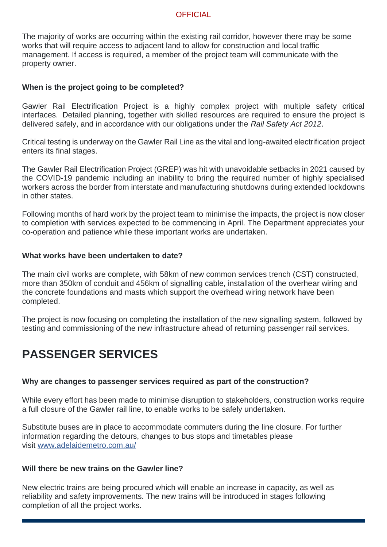The majority of works are occurring within the existing rail corridor, however there may be some works that will require access to adjacent land to allow for construction and local traffic management. If access is required, a member of the project team will communicate with the property owner.

#### **When is the project going to be completed?**

Gawler Rail Electrification Project is a highly complex project with multiple safety critical interfaces. Detailed planning, together with skilled resources are required to ensure the project is delivered safely, and in accordance with our obligations under the *Rail Safety Act 2012*.

Critical testing is underway on the Gawler Rail Line as the vital and long-awaited electrification project enters its final stages.

The Gawler Rail Electrification Project (GREP) was hit with unavoidable setbacks in 2021 caused by the COVID-19 pandemic including an inability to bring the required number of highly specialised workers across the border from interstate and manufacturing shutdowns during extended lockdowns in other states.

Following months of hard work by the project team to minimise the impacts, the project is now closer to completion with services expected to be commencing in April. The Department appreciates your co-operation and patience while these important works are undertaken.

#### **What works have been undertaken to date?**

The main civil works are complete, with 58km of new common services trench (CST) constructed, more than 350km of conduit and 456km of signalling cable, installation of the overhear wiring and the concrete foundations and masts which support the overhead wiring network have been completed.

The project is now focusing on completing the installation of the new signalling system, followed by testing and commissioning of the new infrastructure ahead of returning passenger rail services.

# **PASSENGER SERVICES**

#### **Why are changes to passenger services required as part of the construction?**

While every effort has been made to minimise disruption to stakeholders, construction works require a full closure of the Gawler rail line, to enable works to be safely undertaken.

Substitute buses are in place to accommodate commuters during the line closure. For further information regarding the detours, changes to bus stops and timetables please visit [www.adelaidemetro.com.au/](http://www.adelaidemetro.com.au/)

#### **Will there be new trains on the Gawler line?**

New electric trains are being procured which will enable an increase in capacity, as well as reliability and safety improvements. The new trains will be introduced in stages following completion of all the project works.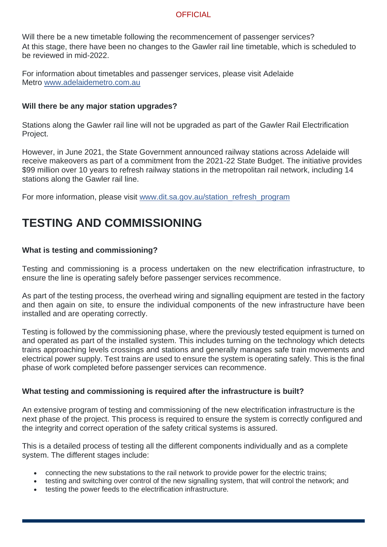Will there be a new timetable following the recommencement of passenger services? At this stage, there have been no changes to the Gawler rail line timetable, which is scheduled to be reviewed in mid-2022.

For information about timetables and passenger services, please visit Adelaide Metro [www.adelaidemetro.com.au](http://www.adelaidemetro.com.au/)

#### **Will there be any major station upgrades?**

Stations along the Gawler rail line will not be upgraded as part of the Gawler Rail Electrification Project.

However, in June 2021, the State Government announced railway stations across Adelaide will receive makeovers as part of a commitment from the 2021-22 State Budget. The initiative provides \$99 million over 10 years to refresh railway stations in the metropolitan rail network, including 14 stations along the Gawler rail line.

For more information, please visit [www.dit.sa.gov.au/station\\_refresh\\_program](https://dit.sa.gov.au/infrastructure/public_transport_projects/gawler_rail_electrification_project/frequently_asked_questions)

# **TESTING AND COMMISSIONING**

### **What is testing and commissioning?**

Testing and commissioning is a process undertaken on the new electrification infrastructure, to ensure the line is operating safely before passenger services recommence.

As part of the testing process, the overhead wiring and signalling equipment are tested in the factory and then again on site, to ensure the individual components of the new infrastructure have been installed and are operating correctly.

Testing is followed by the commissioning phase, where the previously tested equipment is turned on and operated as part of the installed system. This includes turning on the technology which detects trains approaching levels crossings and stations and generally manages safe train movements and electrical power supply. Test trains are used to ensure the system is operating safely. This is the final phase of work completed before passenger services can recommence.

#### **What testing and commissioning is required after the infrastructure is built?**

An extensive program of testing and commissioning of the new electrification infrastructure is the next phase of the project. This process is required to ensure the system is correctly configured and the integrity and correct operation of the safety critical systems is assured.

This is a detailed process of testing all the different components individually and as a complete system. The different stages include:

- connecting the new substations to the rail network to provide power for the electric trains;
- testing and switching over control of the new signalling system, that will control the network; and
- testing the power feeds to the electrification infrastructure.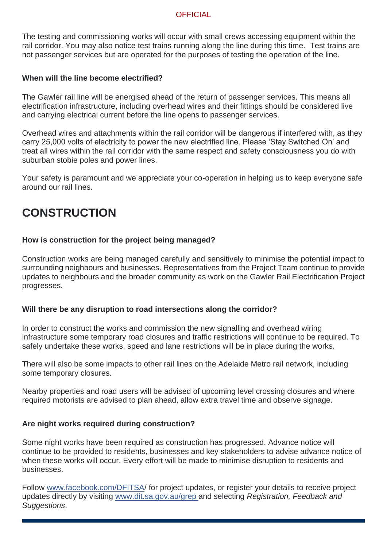The testing and commissioning works will occur with small crews accessing equipment within the rail corridor. You may also notice test trains running along the line during this time. Test trains are not passenger services but are operated for the purposes of testing the operation of the line.

#### **When will the line become electrified?**

The Gawler rail line will be energised ahead of the return of passenger services. This means all electrification infrastructure, including overhead wires and their fittings should be considered live and carrying electrical current before the line opens to passenger services.

Overhead wires and attachments within the rail corridor will be dangerous if interfered with, as they carry 25,000 volts of electricity to power the new electrified line. Please 'Stay Switched On' and treat all wires within the rail corridor with the same respect and safety consciousness you do with suburban stobie poles and power lines.

Your safety is paramount and we appreciate your co-operation in helping us to keep everyone safe around our rail lines.

# **CONSTRUCTION**

### **How is construction for the project being managed?**

Construction works are being managed carefully and sensitively to minimise the potential impact to surrounding neighbours and businesses. Representatives from the Project Team continue to provide updates to neighbours and the broader community as work on the Gawler Rail Electrification Project progresses.

#### **Will there be any disruption to road intersections along the corridor?**

In order to construct the works and commission the new signalling and overhead wiring infrastructure some temporary road closures and traffic restrictions will continue to be required. To safely undertake these works, speed and lane restrictions will be in place during the works.

There will also be some impacts to other rail lines on the Adelaide Metro rail network, including some temporary closures.

Nearby properties and road users will be advised of upcoming level crossing closures and where required motorists are advised to plan ahead, allow extra travel time and observe signage.

#### **Are night works required during construction?**

Some night works have been required as construction has progressed. Advance notice will continue to be provided to residents, businesses and key stakeholders to advise advance notice of when these works will occur. Every effort will be made to minimise disruption to residents and businesses.

Follow [www.facebook.com/DFITSA/](http://www.facebook.com/DFITSA) for project updates, or register your details to receive project updates directly by visiting [www.dit.sa.gov.au/grep](http://www.dit.sa.gov.au/grep) and selecting *Registration, Feedback and Suggestions*.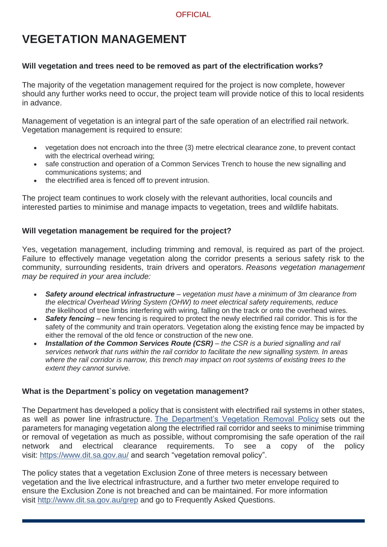# **VEGETATION MANAGEMENT**

# **Will vegetation and trees need to be removed as part of the electrification works?**

The majority of the vegetation management required for the project is now complete, however should any further works need to occur, the project team will provide notice of this to local residents in advance.

Management of vegetation is an integral part of the safe operation of an electrified rail network. Vegetation management is required to ensure:

- vegetation does not encroach into the three (3) metre electrical clearance zone, to prevent contact with the electrical overhead wiring;
- safe construction and operation of a Common Services Trench to house the new signalling and communications systems; and
- the electrified area is fenced off to prevent intrusion.

The project team continues to work closely with the relevant authorities, local councils and interested parties to minimise and manage impacts to vegetation, trees and wildlife habitats.

### **Will vegetation management be required for the project?**

Yes, vegetation management, including trimming and removal, is required as part of the project. Failure to effectively manage vegetation along the corridor presents a serious safety risk to the community, surrounding residents, train drivers and operators. *Reasons vegetation management may be required in your area include:*

- *Safety around electrical infrastructure – vegetation must have a minimum of 3m clearance from the electrical Overhead Wiring System (OHW) to meet electrical safety requirements, reduce the* likelihood of tree limbs interfering with wiring, falling on the track or onto the overhead wires.
- *Safety fencing* new fencing is required to protect the newly electrified rail corridor. This is for the safety of the community and train operators. Vegetation along the existing fence may be impacted by either the removal of the old fence or construction of the new one.
- *Installation of the Common Services Route (CSR) – the CSR is a buried signalling and rail services network that runs within the rail corridor to facilitate the new signalling system. In areas where the rail corridor is narrow, this trench may impact on root systems of existing trees to the extent they cannot survive.*

# **What is the Department`s policy on vegetation management?**

The Department has developed a policy that is consistent with electrified rail systems in other states, as well as power line infrastructure. [The Department's Vegetation Removal Policy](http://dit.sa.gov.au/__data/assets/pdf_file/0008/35657/v36E-Environment_-_Technical_Standards_-_Vegetation_-_Vegetation_Removal_Policy.pdf) sets out the parameters for managing vegetation along the electrified rail corridor and seeks to minimise trimming or removal of vegetation as much as possible, without compromising the safe operation of the rail network and electrical clearance requirements. To see a copy of the policy visit: <https://www.dit.sa.gov.au/> and search "vegetation removal policy".

The policy states that a vegetation Exclusion Zone of three meters is necessary between vegetation and the live electrical infrastructure, and a further two meter envelope required to ensure the Exclusion Zone is not breached and can be maintained. For more information visit <http://www.dit.sa.gov.au/grep> and go to Frequently Asked Questions.